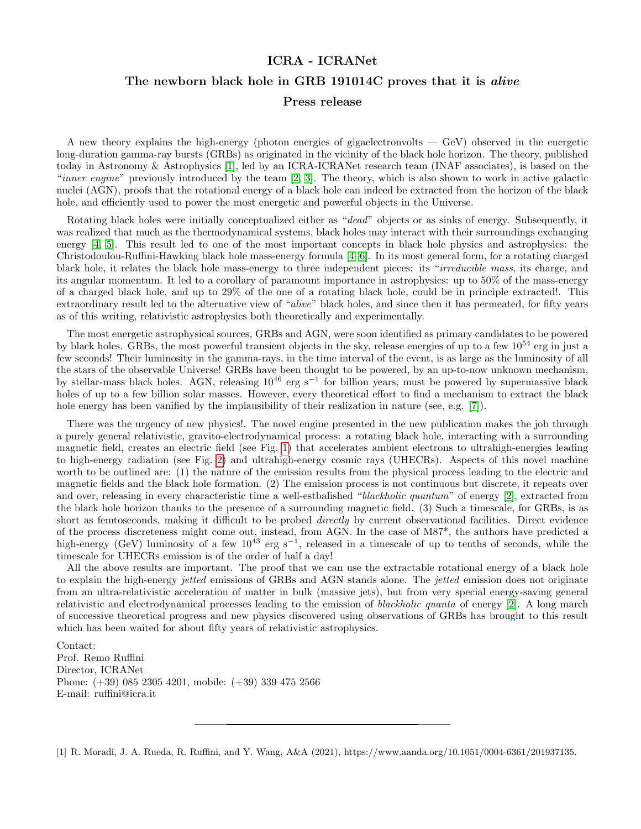## ICRA - ICRANet The newborn black hole in GRB 191014C proves that it is *alive* Press release

A new theory explains the high-energy (photon energies of gigaelectronvolts — GeV) observed in the energetic long-duration gamma-ray bursts (GRBs) as originated in the vicinity of the black hole horizon. The theory, published today in Astronomy & Astrophysics [\[1\]](#page-0-0), led by an ICRA-ICRANet research team (INAF associates), is based on the "inner engine" previously introduced by the team [\[2,](#page-1-0) [3\]](#page-1-1). The theory, which is also shown to work in active galactic nuclei (AGN), proofs that the rotational energy of a black hole can indeed be extracted from the horizon of the black hole, and efficiently used to power the most energetic and powerful objects in the Universe.

Rotating black holes were initially conceptualized either as "dead" objects or as sinks of energy. Subsequently, it was realized that much as the thermodynamical systems, black holes may interact with their surroundings exchanging energy [\[4,](#page-1-2) [5\]](#page-1-3). This result led to one of the most important concepts in black hole physics and astrophysics: the Christodoulou-Ruffini-Hawking black hole mass-energy formula [\[4–](#page-1-2)[6\]](#page-1-4). In its most general form, for a rotating charged black hole, it relates the black hole mass-energy to three independent pieces: its "irreducible mass, its charge, and its angular momentum. It led to a corollary of paramount importance in astrophysics: up to 50% of the mass-energy of a charged black hole, and up to 29% of the one of a rotating black hole, could be in principle extracted!. This extraordinary result led to the alternative view of "alive" black holes, and since then it has permeated, for fifty years as of this writing, relativistic astrophysics both theoretically and experimentally.

The most energetic astrophysical sources, GRBs and AGN, were soon identified as primary candidates to be powered by black holes. GRBs, the most powerful transient objects in the sky, release energies of up to a few  $10^{54}$  erg in just a few seconds! Their luminosity in the gamma-rays, in the time interval of the event, is as large as the luminosity of all the stars of the observable Universe! GRBs have been thought to be powered, by an up-to-now unknown mechanism, by stellar-mass black holes. AGN, releasing 10<sup>46</sup> erg s<sup>-1</sup> for billion years, must be powered by supermassive black holes of up to a few billion solar masses. However, every theoretical effort to find a mechanism to extract the black hole energy has been vanified by the implausibility of their realization in nature (see, e.g. [\[7\]](#page-1-5)).

There was the urgency of new physics!. The novel engine presented in the new publication makes the job through a purely general relativistic, gravito-electrodynamical process: a rotating black hole, interacting with a surrounding magnetic field, creates an electric field (see Fig. [1\)](#page-1-6) that accelerates ambient electrons to ultrahigh-energies leading to high-energy radiation (see Fig. [2\)](#page-2-0) and ultrahigh-energy cosmic rays (UHECRs). Aspects of this novel machine worth to be outlined are: (1) the nature of the emission results from the physical process leading to the electric and magnetic fields and the black hole formation. (2) The emission process is not continuous but discrete, it repeats over and over, releasing in every characteristic time a well-estbalished "blackholic quantum" of energy [\[2\]](#page-1-0), extracted from the black hole horizon thanks to the presence of a surrounding magnetic field. (3) Such a timescale, for GRBs, is as short as femtoseconds, making it difficult to be probed *directly* by current observational facilities. Direct evidence of the process discreteness might come out, instead, from AGN. In the case of M87\*, the authors have predicted a high-energy (GeV) luminosity of a few  $10^{43}$  erg s<sup>-1</sup>, released in a timescale of up to tenths of seconds, while the timescale for UHECRs emission is of the order of half a day!

All the above results are important. The proof that we can use the extractable rotational energy of a black hole to explain the high-energy jetted emissions of GRBs and AGN stands alone. The jetted emission does not originate from an ultra-relativistic acceleration of matter in bulk (massive jets), but from very special energy-saving general relativistic and electrodynamical processes leading to the emission of blackholic quanta of energy [\[2\]](#page-1-0). A long march of successive theoretical progress and new physics discovered using observations of GRBs has brought to this result which has been waited for about fifty years of relativistic astrophysics.

Contact: Prof. Remo Ruffini Director, ICRANet Phone: (+39) 085 2305 4201, mobile: (+39) 339 475 2566 E-mail: ruffini@icra.it

<span id="page-0-0"></span>[1] R. Moradi, J. A. Rueda, R. Ruffini, and Y. Wang, A&A (2021), https://www.aanda.org/10.1051/0004-6361/201937135.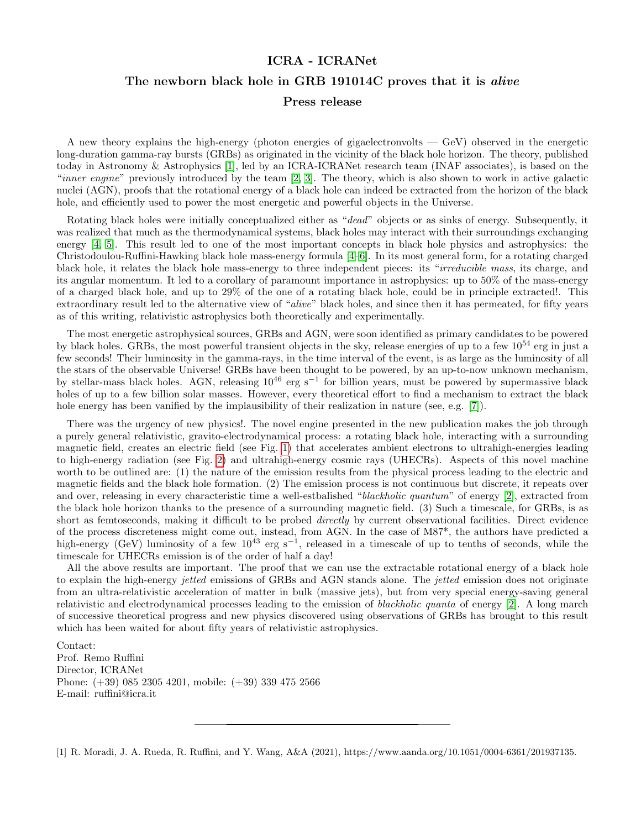

<span id="page-1-6"></span>FIG. 1. Figure taken from [\[1\]](#page-0-0) with the kind permission of the authors. Electric (blue lines) and magnetic (golden lines) field lines surrounding the rotating black hole. Electrons located in these northern and southern hemisphere cones of semi-aperture angle of 60 are outwardly accelerated leading to GeV photons (see Fig. [2\)](#page-2-0).

- <span id="page-1-0"></span>[2] J. A. Rueda and R. Ruffini, European Physical Journal C 80, 300 (2020), 1907.08066.
- <span id="page-1-1"></span>[3] R. Ruffini, R. Moradi, J. A. Rueda, L. Becerra, C. L. Bianco, C. Cherubini, S. Filippi, Y. C. Chen, M. Karlica, N. Sahakyan, et al., Astroph. J. 886, 82 (2019), 1812.00354.
- <span id="page-1-2"></span>[4] D. Christodoulou, Phys. Rev. Lett. **25**, 1596 (1970).
- <span id="page-1-3"></span>[5] D. Christodoulou and R. Ruffini, Phys. Rev. D 4, 3552 (1971).
- <span id="page-1-4"></span>[6] S. W. Hawking, Physical Review Letters 26, 1344 (1971).
- <span id="page-1-5"></span>[7] R. Penrose and R. M. Floyd, Nature Physical Science 229, 177 (1971).
- <span id="page-1-7"></span>[8] R. Ruffini, R. Moradi, J. A. Rueda, L. Li, N. Sahakyan, Y. C. Chen, Y. Wang, Y. Aimuratov, L. Becerra, C. L. Bianco, et al., MNRAS (2021), 2103.09142.